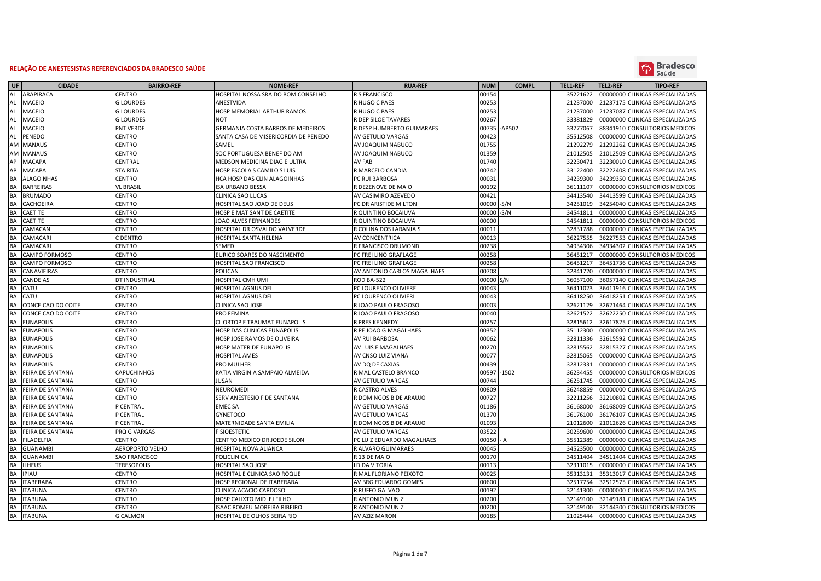

| UF        | <b>CIDADE</b>      | <b>BAIRRO-REF</b>      | <b>NOME-REF</b>                      | <b>RUA-REF</b>              | <b>NUM</b> | <b>COMPL</b> | <b>TEL1-REF</b> | <b>TEL2-REF</b> | <b>TIPO-REF</b>                  |
|-----------|--------------------|------------------------|--------------------------------------|-----------------------------|------------|--------------|-----------------|-----------------|----------------------------------|
| <b>AL</b> | ARAPIRACA          | <b>CENTRO</b>          | HOSPITAL NOSSA SRA DO BOM CONSELHO   | <b>R S FRANCISCO</b>        | 00154      |              | 35221622        | 00000000        | <b>CLINICAS ESPECIALIZADAS</b>   |
| AL        | MACEIO             | <b>G LOURDES</b>       | ANESTVIDA                            | R HUGO C PAES               | 00253      |              | 21237000        |                 | 21237175 CLINICAS ESPECIALIZADAS |
| AL        | MACEIO             | <b>G LOURDES</b>       | HOSP MEMORIAL ARTHUR RAMOS           | R HUGO C PAES               | 00253      |              | 21237000        |                 | 21237087 CLINICAS ESPECIALIZADAS |
|           | <b>MACEIO</b>      | <b>GLOURDES</b>        | <b>NOT</b>                           | R DEP SILOE TAVARES         | 00267      |              | 33381829        | 00000000        | <b>CLINICAS ESPECIALIZADAS</b>   |
| AL        | <b>MACEIO</b>      | <b>PNT VERDE</b>       | GERMANIA COSTA BARROS DE MEDEIROS    | R DESP HUMBERTO GUIMARAES   | 00735      | $-AP502$     | 33777067        | 88341910        | <b>CONSULTORIOS MEDICOS</b>      |
| AL        | PENEDO             | <b>CENTRO</b>          | SANTA CASA DE MISERICORDIA DE PENEDO | AV GETULIO VARGAS           | 00423      |              | 35512508        | 00000000        | CLINICAS ESPECIALIZADAS          |
| AM        | <b>MANAUS</b>      | CENTRO                 | SAMEL                                | AV JOAQUIM NABUCO           | 01755      |              | 21292279        |                 | 21292262 CLINICAS ESPECIALIZADAS |
| AM        | MANAUS             | CENTRO                 | SOC PORTUGUESA BENEF DO AM           | AV JOAQUIM NABUCO           | 01359      |              | 21012505        |                 | 21012509 CLINICAS ESPECIALIZADAS |
| AP        | MACAPA             | CENTRAL                | MEDSON MEDICINA DIAG E ULTRA         | AV FAB                      | 01740      |              | 32230471        | 32230010        | CLINICAS ESPECIALIZADAS          |
| AP        | MACAPA             | <b>STA RITA</b>        | HOSP ESCOLA S CAMILO S LUIS          | R MARCELO CANDIA            | 00742      |              | 33122400        | 32222408        | CLINICAS ESPECIALIZADAS          |
| BA        | <b>ALAGOINHAS</b>  | <b>CENTRO</b>          | HCA HOSP DAS CLIN ALAGOINHAS         | PC RUI BARBOSA              | 00031      |              | 34239300        | 34239350        | CLINICAS ESPECIALIZADAS          |
| BA        | <b>BARREIRAS</b>   | <b>VL BRASIL</b>       | <b>ISA URBANO BESSA</b>              | R DEZENOVE DE MAIO          | 00192      |              | 36111107        | 00000000        | <b>CONSULTORIOS MEDICOS</b>      |
| BA        | <b>BRUMADO</b>     | <b>CENTRO</b>          | CLINICA SAO LUCAS                    | AV CASIMIRO AZEVEDO         | 00421      |              | 34413540        | 34413599        | CLINICAS ESPECIALIZADAS          |
|           | CACHOEIRA          | CENTRO                 | <b>OSPITAL SAO JOAO DE DEUS</b>      | PC DR ARISTIDE MILTON       | 00000      | $-S/N$       | 34251019        | 34254040        | <b>CLINICAS ESPECIALIZADAS</b>   |
| <b>BA</b> | CAETITE            | CENTRO                 | HOSP E MAT SANT DE CAETITE           | R QUINTINO BOCAIUVA         | 00000      | -S/N         | 34541813        | 00000000        | CLINICAS ESPECIALIZADAS          |
| BA        | CAETITE            | CENTRO                 | JOAO ALVES FERNANDES                 | R QUINTINO BOCAIUVA         | 00000      |              | 34541813        | 00000000        | <b>CONSULTORIOS MEDICOS</b>      |
| BA        | CAMACAN            | <b>CENTRO</b>          | HOSPITAL DR OSVALDO VALVERDE         | R COLINA DOS LARANJAIS      | 00011      |              | 32831788        | 00000000        | CLINICAS ESPECIALIZADAS          |
| BA        | CAMACARI           | C DENTRO               | HOSPITAL SANTA HELENA                | AV CONCENTRICA              | 00013      |              | 3622755         | 36227553        | CLINICAS ESPECIALIZADAS          |
| BA        | CAMACARI           | <b>CENTRO</b>          | SEMED                                | R FRANCISCO DRUMOND         | 00238      |              | 34934306        |                 | 34934302 CLINICAS ESPECIALIZADAS |
| BA        | CAMPO FORMOSO      | <b>CENTRO</b>          | EURICO SOARES DO NASCIMENTO          | PC FREI LINO GRAFLAGE       | 00258      |              | 36451217        | 00000000        | <b>CONSULTORIOS MEDICOS</b>      |
|           | CAMPO FORMOSO      | CENTRO                 | <b>IOSPITAL SAO FRANCISCO</b>        | PC FREI LINO GRAFLAGE       | 00258      |              | 36451217        |                 | 36451736 CLINICAS ESPECIALIZADAS |
| BA        | CANAVIEIRAS        | <b>CENTRO</b>          | POLICAN                              | AV ANTONIO CARLOS MAGALHAES | 00708      |              | 32841720        | 00000000        | CLINICAS ESPECIALIZADAS          |
| BA        | CANDEIAS           | DT INDUSTRIAL          | HOSPITAL CMH UMI                     | ROD BA-522                  | 00000 S/N  |              | 36057100        |                 | 36057140 CLINICAS ESPECIALIZADAS |
| BA        | CATU               | <b>CENTRO</b>          | <b>OSPITAL AGNUS DEI</b>             | PC LOURENCO OLIVIERE        | 00043      |              | 36411023        | 36411916        | <b>CLINICAS ESPECIALIZADAS</b>   |
| BA        | CATU               | CENTRO                 | HOSPITAL AGNUS DEI                   | PC LOURENCO OLIVIERI        | 00043      |              | 36418250        | 36418251        | CLINICAS ESPECIALIZADAS          |
| BA        | CONCEICAO DO COITE | CENTRO                 | CLINICA SAO JOSE                     | R JOAO PAULO FRAGOSO        | 00003      |              | 32621129        | 32621464        | <b>CLINICAS ESPECIALIZADAS</b>   |
| BA        | CONCEICAO DO COITE | <b>CENTRO</b>          | PRO FEMINA                           | R JOAO PAULO FRAGOSO        | 00040      |              | 32621522        | 32622250        | CLINICAS ESPECIALIZADAS          |
| BA        | <b>EUNAPOLIS</b>   | CENTRO                 | LL ORTOP E TRAUMAT EUNAPOLIS         | R PRES KENNEDY              | 00257      |              | 32815612        | 32617825        | CLINICAS ESPECIALIZADAS          |
| BA        | <b>EUNAPOLIS</b>   | CENTRO                 | <b>HOSP DAS CLINICAS EUNAPOLIS</b>   | R PE JOAO G MAGALHAES       | 00352      |              | 35112300        | 00000000        | CLINICAS ESPECIALIZADAS          |
|           | <b>EUNAPOLIS</b>   | <b>CENTRO</b>          | HOSP JOSE RAMOS DE OLIVEIRA          | AV RUI BARBOSA              | 00062      |              | 32811336        |                 | 32615592 CLINICAS ESPECIALIZADAS |
| BA        | <b>EUNAPOLIS</b>   | CENTRO                 | HOSP MATER DE EUNAPOLIS              | AV LUIS E MAGALHAES         | 00270      |              | 32815562        | 32815327        | <b>CLINICAS ESPECIALIZADAS</b>   |
| BA        | <b>EUNAPOLIS</b>   | CENTRO                 | HOSPITAL AMES                        | AV CNSO LUIZ VIANA          | 00077      |              | 32815065        |                 | 00000000 CLINICAS ESPECIALIZADAS |
| BA        | <b>EUNAPOLIS</b>   | <b>CENTRO</b>          | PRO MULHER                           | AV DQ DE CAXIAS             | 00439      |              | 32812333        |                 | 00000000 CLINICAS ESPECIALIZADAS |
| BA        | FEIRA DE SANTANA   | <b>CAPUCHINHOS</b>     | KATIA VIRGINIA SAMPAIO ALMEIDA       | R MAL CASTELO BRANCO        | 00597      | $-1502$      | 36234455        |                 | 00000000 CONSULTORIOS MEDICOS    |
| BA        | FEIRA DE SANTANA   | <b>CENTRO</b>          | <b>USAN</b>                          | AV GETULIO VARGAS           | 00744      |              | 36251745        | 00000000        | CLINICAS ESPECIALIZADAS          |
| BA        | FEIRA DE SANTANA   | <b>CENTRO</b>          | NEUROMEDI                            | R CASTRO ALVES              | 00809      |              | 36248859        | 00000000        | CLINICAS ESPECIALIZADAS          |
|           | FEIRA DE SANTANA   | CENTRO                 | SERV ANESTESIO F DE SANTANA          | R DOMINGOS B DE ARAUJO      | 00727      |              | 32211256        | 32210802        | <b>CLINICAS ESPECIALIZADAS</b>   |
| <b>BA</b> | FEIRA DE SANTANA   | P CENTRAL              | <b>EMECSA</b>                        | <b>AV GETULIO VARGAS</b>    | 01186      |              | 36168000        |                 | 36168009 CLINICAS ESPECIALIZADAS |
| BA        | FEIRA DE SANTANA   | P CENTRAL              | <b>GYNETOCO</b>                      | <b>AV GETULIO VARGAS</b>    | 01370      |              | 36176100        | 36176107        | <b>CLINICAS ESPECIALIZADAS</b>   |
| BA        | FEIRA DE SANTANA   | P CENTRAL              | MATERNIDADE SANTA EMILIA             | R DOMINGOS B DE ARAUJO      | 01093      |              | 21012600        |                 | 21012626 CLINICAS ESPECIALIZADAS |
| BA        | FEIRA DE SANTANA   | PRQ G VARGAS           | <b>FISIOESTETIC</b>                  | AV GETULIO VARGAS           | 03522      |              | 30259600        |                 | 00000000 CLINICAS ESPECIALIZADAS |
| BA        | <b>FILADELFIA</b>  | <b>CENTRO</b>          | ENTRO MEDICO DR JOEDE SILONI         | PC LUIZ EDUARDO MAGALHAES   | 00150      | A            | 35512389        | 00000000        | CLINICAS ESPECIALIZADAS          |
| BA        | <b>GUANAMBI</b>    | <b>AEROPORTO VELHO</b> | HOSPITAL NOVA ALIANCA                | R ALVARO GUIMARAES          | 00045      |              | 34523500        | 00000000        | <b>CLINICAS ESPECIALIZADAS</b>   |
|           | <b>GUANAMBI</b>    | SAO FRANCISCO          | <b>POLICLINICA</b>                   | R 13 DE MAIO                | 00170      |              | 34511404        |                 | 34511404 CLINICAS ESPECIALIZADAS |
| BA        | ILHEUS             | <b>TERESOPOLIS</b>     | <b>OSPITAL SAO JOSE</b>              | LD DA VITORIA               | 00113      |              | 32311015        | 00000000        | CLINICAS ESPECIALIZADAS          |
| BA        | IPIAU              | <b>CENTRO</b>          | HOSPITAL E CLINICA SAO ROQUE         | R MAL FLORIANO PEIXOTO      | 00025      |              | 35313131        |                 | 35313017 CLINICAS ESPECIALIZADAS |
| BA        | <b>ITABERABA</b>   | <b>CENTRO</b>          | HOSP REGIONAL DE ITABERABA           | AV BRG EDUARDO GOMES        | 00600      |              | 32517754        | 32512575        | CLINICAS ESPECIALIZADAS          |
| BA        | <b>ITABUNA</b>     | CENTRO                 | CLINICA ACACIO CARDOSO               | R RUFFO GALVAO              | 00192      |              | 32141300        | 00000000        | CLINICAS ESPECIALIZADAS          |
| BA        | <b>ITABUNA</b>     | <b>CENTRO</b>          | HOSP CALIXTO MIDLEJ FILHO            | R ANTONIO MUNIZ             | 00200      |              | 32149100        | 32149181        | CLINICAS ESPECIALIZADAS          |
| BA        | <b>ITABUNA</b>     | <b>CENTRO</b>          | <b>ISAAC ROMEU MOREIRA RIBEIRO</b>   | R ANTONIO MUNIZ             | 00200      |              | 32149100        | 32144300        | <b>CONSULTORIOS MEDICOS</b>      |
| BA        | <b>ITABUNA</b>     | <b>G CALMON</b>        | HOSPITAL DE OLHOS BEIRA RIO          | AV AZIZ MARON               | 00185      |              | 21025444        |                 | 00000000 CLINICAS ESPECIALIZADAS |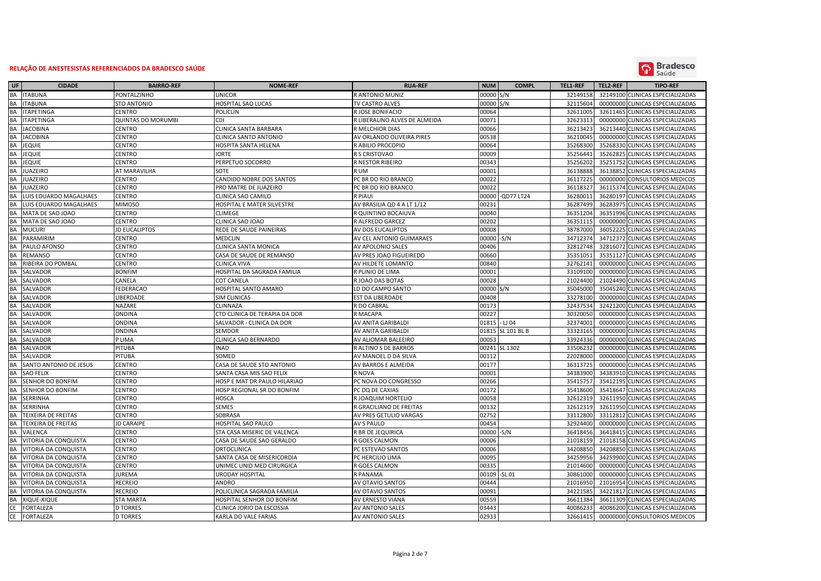

| UF        | <b>CIDADE</b>          | <b>BAIRRO-REF</b>         | <b>NOME-REF</b>                   | <b>RUA-REF</b>                | <b>NUM</b><br><b>COMPL</b>  | <b>TEL1-REF</b> | <b>TEL2-REF</b> | <b>TIPO-REF</b>                  |
|-----------|------------------------|---------------------------|-----------------------------------|-------------------------------|-----------------------------|-----------------|-----------------|----------------------------------|
| BA        | <b>ITABUNA</b>         | PONTALZINHO               | UNICOR                            | R ANTONIO MUNIZ               | 00000 S/N                   | 32149158        |                 | 32149100 CLINICAS ESPECIALIZADAS |
| BA        | <b>ITABUNA</b>         | <b>STO ANTONIO</b>        | HOSPITAL SAO LUCAS                | TV CASTRO ALVES               | S/N<br>00000                | 32115604        |                 | 00000000 CLINICAS ESPECIALIZADAS |
| BA        | <b>ITAPETINGA</b>      | <b>CENTRO</b>             | POLICLIN                          | R JOSE BONIFACIO              | 00064                       | 32611005        |                 | 32611465 CLINICAS ESPECIALIZADAS |
| <b>BA</b> | <b>ITAPETINGA</b>      | <b>QUINTAS DO MORUMBI</b> | CDI                               | R LIBERALINO ALVES DE ALMEIDA | 00071                       | 32623313        |                 | 00000000 CLINICAS ESPECIALIZADAS |
| BA        | <b>JACOBINA</b>        | <b>CENTRO</b>             | CLINICA SANTA BARBARA             | R MELCHIOR DIAS               | 00066                       | 36213423        |                 | 36213440 CLINICAS ESPECIALIZADAS |
| BA        | <b>JACOBINA</b>        | CENTRO                    | CLINICA SANTO ANTONIO             | AV ORLANDO OLIVEIRA PIRES     | 00538                       | 36210045        |                 | 00000000 CLINICAS ESPECIALIZADAS |
|           | <b>JEQUIE</b>          | CENTRO                    | HOSPITA SANTA HELENA              | R ABILIO PROCOPIO             | 00064                       | 3526830         |                 | 35268330 CLINICAS ESPECIALIZADAS |
| BA        | <b>JEQUIE</b>          | CENTRO                    | <b>IORTE</b>                      | R S CRISTOVAO                 | 00009                       | 35256441        |                 | 35262825 CLINICAS ESPECIALIZADAS |
| BA        | <b>JEQUIE</b>          | CENTRO                    | PERPETUO SOCORRO                  | R NESTOR RIBEIRO              | 00343                       | 35256202        |                 | 35251752 CLINICAS ESPECIALIZADAS |
| BA        | <b>JUAZEIRO</b>        | AT MARAVILHA              | SOTE                              | R UM                          | 00001                       | 36138888        |                 | 36138852 CLINICAS ESPECIALIZADAS |
| BA        | <b>JUAZEIRO</b>        | <b>CENTRO</b>             | CANDIDO NOBRE DOS SANTOS          | PC BR DO RIO BRANCO           | 00022                       | 36117225        |                 | 00000000 CONSULTORIOS MEDICOS    |
| BA        | JUAZEIRO               | <b>CENTRO</b>             | PRO MATRE DE JUAZEIRO             | PC BR DO RIO BRANCO           | 00022                       | 36118327        |                 | 36115374 CLINICAS ESPECIALIZADAS |
| <b>BA</b> | LUIS EDUARDO MAGALHAES | <b>CENTRO</b>             | CLINICA SAO CAMILO                | <b>R PIAUI</b>                | 00000<br>-QD77 LT24         | 36280011        |                 | 36280197 CLINICAS ESPECIALIZADAS |
|           | LUIS EDUARDO MAGALHAES | <b>MIMOSO</b>             | <b>IOSPITAL E MATER SILVESTRE</b> | AV BRASILIA QD 4 A LT 1/12    | 00231                       | 36287499        |                 | 36283975 CLINICAS ESPECIALIZADAS |
| <b>BA</b> | MATA DE SAO JOAO       | CENTRO                    | CLIMEGE                           | R QUINTINO BOCAIUVA           | 00040                       | 36351204        |                 | 36351996 CLINICAS ESPECIALIZADAS |
| BA        | MATA DE SAO JOAO       | <b>CENTRO</b>             | CLINICA SAO JOAO                  | R ALFREDO GARCEZ              | 00202                       | 36351115        |                 | 00000000 CLINICAS ESPECIALIZADAS |
| BA        | <b>MUCURI</b>          | <b>JD EUCALIPTOS</b>      | REDE DE SAUDE PAINEIRAS           | AV DOS EUCALIPTOS             | 00008                       | 38787000        |                 | 36052225 CLINICAS ESPECIALIZADAS |
| <b>BA</b> | PARAMIRIM              | <b>CENTRO</b>             | MEDCLIN                           | AV CEL ANTONIO GUIMARAES      | 00000<br>-S/N               | 34712374        |                 | 34712372 CLINICAS ESPECIALIZADAS |
| BA        | PAULO AFONSO           | <b>CENTRO</b>             | CLINICA SANTA MONICA              | AV APOLONIO SALES             | 00406                       | 32812748        |                 | 32816072 CLINICAS ESPECIALIZADAS |
| <b>BA</b> | REMANSO                | <b>CENTRO</b>             | CASA DE SAUDE DE REMANSO          | AV PRES JOAO FIGUEIREDO       | 00660                       | 35351051        |                 | 35351127 CLINICAS ESPECIALIZADAS |
| <b>BA</b> | RIBEIRA DO POMBAL      | CENTRO                    | CLINICA VIVA                      | AV HILDETE LOMANTO            | 00840                       | 32762141        |                 | 00000000 CLINICAS ESPECIALIZADAS |
| BA        | SALVADOR               | <b>BONFIM</b>             | HOSPITAL DA SAGRADA FAMILIA       | R PLINIO DE LIMA              | 00001                       | 3310910         |                 | 00000000 CLINICAS ESPECIALIZADAS |
| <b>BA</b> | SALVADOR               | CANELA                    | COT CANELA                        | R JOAO DAS BOTAS              | 00028                       | 21024400        |                 | 21024490 CLINICAS ESPECIALIZADAS |
| BA        | SALVADOR               | <b>FEDERACAO</b>          | HOSPITAL SANTO AMARO              | LD DO CAMPO SANTO             | 00000<br>S/N                | 35045000        |                 | 35045240 CLINICAS ESPECIALIZADAS |
| <b>BA</b> | SALVADOR               | LIBERDADE                 | <b>SIM CLINICAS</b>               | <b>EST DA LIBERDADE</b>       | 00408                       | 33278100        |                 | 00000000 CLINICAS ESPECIALIZADAS |
| BA        | SALVADOR               | NAZARE                    | CLINNAZA                          | R DO CABRAL                   | 00173                       | 32437534        |                 | 32421200 CLINICAS ESPECIALIZADAS |
| BA        | SALVADOR               | ONDINA                    | CTD CLINICA DE TERAPIA DA DOR     | R MACAPA                      | 00227                       | 30320050        |                 | 00000000 CLINICAS ESPECIALIZADAS |
|           | SALVADOR               | <b>ONDINA</b>             | SALVADOR - CLINICA DA DOR         | AV ANITA GARIBALDI            | 01815<br>$-LJ$ 04           | 32374001        |                 | 00000000 CLINICAS ESPECIALIZADAS |
|           | SALVADOR               | <b>ONDINA</b>             | SEMDOR                            | AV ANITA GARIBALDI            | <b>SL 101 BL B</b><br>01815 | 33323165        |                 | 00000000 CLINICAS ESPECIALIZADAS |
|           | SALVADOR               | <b>LIMA</b>               | LINICA SAO BERNARDO               | AV ALIOMAR BALEEIRO           | 00053                       | 3392433         |                 | 00000000 CLINICAS ESPECIALIZADAS |
| BA        | SALVADOR               | PITUBA                    | <b>INAD</b>                       | R ALTINO S DE BARROS          | 00241<br>SL 1302            | 3350623         |                 | 00000000 CLINICAS ESPECIALIZADAS |
| BA        | SALVADOR               | PITUBA                    | SOMED                             | AV MANOEL D DA SILVA          | 00112                       | 22028000        |                 | 00000000 CLINICAS ESPECIALIZADAS |
| <b>BA</b> | SANTO ANTONIO DE JESUS | <b>CENTRO</b>             | CASA DE SAUDE STO ANTONIO         | AV BARROS E ALMEIDA           | 00177                       | 36313725        |                 | 00000000 CLINICAS ESPECIALIZADAS |
| <b>BA</b> | <b>SAO FELIX</b>       | <b>CENTRO</b>             | SANTA CASA MIS SAO FELIX          | <b>R NOVA</b>                 | 00001                       | 34383900        |                 | 34383910 CLINICAS ESPECIALIZADAS |
| <b>BA</b> | SENHOR DO BONFIM       | <b>CENTRO</b>             | HOSP E MAT DR PAULO HILARIAO      | PC NOVA DO CONGRESSO          | 00266                       | 35415757        |                 | 35412195 CLINICAS ESPECIALIZADAS |
|           | SENHOR DO BONFIM       | CENTRO                    | HOSP REGIONAL SR DO BONFIM        | PC DQ DE CAXIAS               | 00172                       | 35418600        |                 | 35418647 CLINICAS ESPECIALIZADAS |
|           | SERRINHA               | <b>CENTRO</b>             | <b>HOSCA</b>                      | R JOAQUIM HORTELIO            | 00058                       | 32612319        |                 | 32611950 CLINICAS ESPECIALIZADAS |
| <b>BA</b> | SERRINHA               | CENTRO                    | <b>SEMES</b>                      | R GRACILIANO DE FREITAS       | 00132                       | 32612319        |                 | 32611950 CLINICAS ESPECIALIZADAS |
| <b>BA</b> | TEIXEIRA DE FREITAS    | CENTRO                    | SOBRASA                           | AV PRES GETULIO VARGAS        | 02752                       | 33112800        |                 | 33112812 CLINICAS ESPECIALIZADAS |
| <b>BA</b> | TEIXEIRA DE FREITAS    | <b>JD CARAIPE</b>         | HOSPITAL SAO PAULO                | AV S PAULO                    | 00454                       | 32924400        |                 | 00000000 CLINICAS ESPECIALIZADAS |
| <b>BA</b> | VALENCA                | <b>CENTRO</b>             | STA CASA MISERIC DE VALENCA       | R BR DE JEQUIRICA             | 00000<br>-S/N               | 3641845         |                 | 36418415 CLINICAS ESPECIALIZADAS |
| <b>BA</b> | VITORIA DA CONQUISTA   | <b>CENTRO</b>             | CASA DE SAUDE SAO GERALDO         | R GOES CALMON                 | 00006                       | 21018159        |                 | 21018158 CLINICAS ESPECIALIZADAS |
|           | VITORIA DA CONQUISTA   | CENTRO                    | ORTOCLINICA                       | PC ESTEVAO SANTOS             | 00006                       | 3420885         |                 | 34208850 CLINICAS ESPECIALIZADAS |
| BA        | VITORIA DA CONQUISTA   | <b>CENTRO</b>             | SANTA CASA DE MISERICORDIA        | PC HERCILIO LIMA              | 00095                       | 34259956        |                 | 34259900 CLINICAS ESPECIALIZADAS |
| <b>BA</b> | VITORIA DA CONQUISTA   | <b>CENTRO</b>             | UNIMEC UNID MED CIRURGICA         | R GOES CALMON                 | 00335                       | 21014600        |                 | 00000000 CLINICAS ESPECIALIZADAS |
| BA        | VITORIA DA CONQUISTA   | JUREMA                    | URODAY HOSPITAL                   | R PANAMA                      | 00109<br>-SL01              | 30861000        |                 | 00000000 CLINICAS ESPECIALIZADAS |
| <b>BA</b> | VITORIA DA CONQUISTA   | <b>RECREIO</b>            | ANDRO                             | AV OTAVIO SANTOS              | 00444                       | 2101695         |                 | 21016954 CLINICAS ESPECIALIZADAS |
| <b>BA</b> | VITORIA DA CONQUISTA   | <b>RECREIO</b>            | POLICLINICA SAGRADA FAMILIA       | AV OTAVIO SANTOS              | 00091                       | 34221585        |                 | 34221817 CLINICAS ESPECIALIZADAS |
| <b>BA</b> | XIQUE-XIQUE            | <b>STA MARTA</b>          | <b>IOSPITAL SENHOR DO BONFIM</b>  | AV ERNESTO VIANA              | 00559                       | 36611384        |                 | 36611309 CLINICAS ESPECIALIZADAS |
| <b>CE</b> | <b>FORTALEZA</b>       | <b>D TORRES</b>           | CLINICA JORIO DA ESCOSSIA         | <b>AV ANTONIO SALES</b>       | 03443                       | 40086233        |                 | 40086200 CLINICAS ESPECIALIZADAS |
| CE        | <b>FORTALEZA</b>       | <b>D TORRES</b>           | KARLA DO VALE FARIAS              | <b>AV ANTONIO SALES</b>       | 02933                       | 32661415        |                 | 00000000 CONSULTORIOS MEDICOS    |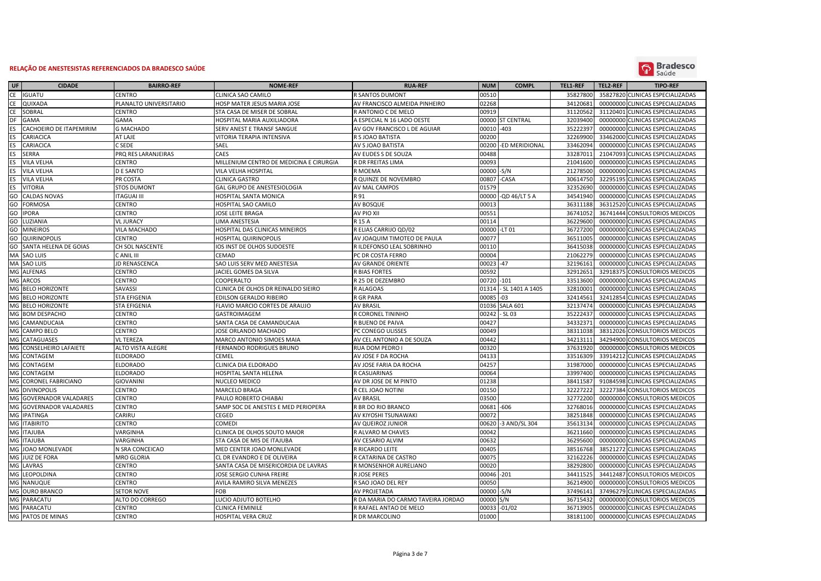

| UF        | <b>CIDADE</b>               | <b>BAIRRO-REF</b>      | <b>NOME-REF</b>                         | <b>RUA-REF</b>                     | <b>NUM</b> | <b>COMPL</b>         | <b>TEL1-REF</b> | <b>TEL2-REF</b> | <b>TIPO-REF</b>                  |
|-----------|-----------------------------|------------------------|-----------------------------------------|------------------------------------|------------|----------------------|-----------------|-----------------|----------------------------------|
| <b>CE</b> | <b>IGUATU</b>               | CENTRO                 | CLINICA SAO CAMILO                      | <b>SANTOS DUMONT</b>               | 00510      |                      | 35827800        |                 | 35827820 CLINICAS ESPECIALIZADAS |
| <b>CE</b> | QUIXADA                     | PLANALTO UNIVERSITARIO | HOSP MATER JESUS MARIA JOSE             | AV FRANCISCO ALMEIDA PINHEIRO      | 02268      |                      | 34120681        |                 | 00000000 CLINICAS ESPECIALIZADAS |
| CE        | SOBRAL                      | CENTRO                 | STA CASA DE MISER DE SOBRAL             | R ANTONIO C DE MELO                | 00919      |                      | 31120562        | 31120401        | <b>CLINICAS ESPECIALIZADAS</b>   |
| DF        | GAMA                        | GAMA                   | HOSPITAL MARIA AUXILIADORA              | A ESPECIAL N 16 LADO OESTE         |            | 00000 ST CENTRAL     | 32039400        |                 | 00000000 CLINICAS ESPECIALIZADAS |
| ES        | CACHOEIRO DE ITAPEMIRIM     | <b>G MACHADO</b>       | SERV ANEST E TRANSF SANGUE              | AV GOV FRANCISCO L DE AGUIAR       | 00010      | $-403$               | 35222397        |                 | 00000000 CLINICAS ESPECIALIZADAS |
| ES        | CARIACICA                   | AT LAJE                | VITORIA TERAPIA INTENSIVA               | R S JOAO BATISTA                   | 00200      |                      | 32269900        |                 | 33462000 CLINICAS ESPECIALIZADAS |
| ES        | CARIACICA                   | C SEDE                 | SAEL                                    | AV S JOAO BATISTA                  | 00200      | <b>ED MERIDIONAL</b> | 33462094        |                 | 00000000 CLINICAS ESPECIALIZADAS |
| ES        | SERRA                       | PRQ RES LARANJEIRAS    | CAES                                    | AV EUDES S DE SOUZA                | 00488      |                      | 33287013        |                 | 21047093 CLINICAS ESPECIALIZADAS |
| ES        | VILA VELHA                  | CENTRO                 | MILLENIUM CENTRO DE MEDICINA E CIRURGIA | R DR FREITAS LIMA                  | 00093      |                      | 21041600        |                 | 00000000 CLINICAS ESPECIALIZADAS |
| ES        | VILA VELHA                  | D E SANTO              | VILA VELHA HOSPITAL                     | R MOEMA                            | 00000      | -S/N                 | 21278500        | 00000000        | CLINICAS ESPECIALIZADAS          |
| ES        | VILA VELHA                  | PR COSTA               | <b>CLINICA GASTRO</b>                   | R QUINZE DE NOVEMBRO               | 00807      | -CASA                | 30614750        |                 | 32295195 CLINICAS ESPECIALIZADAS |
| <b>ES</b> | VITORIA                     | <b>STOS DUMONT</b>     | GAL GRUPO DE ANESTESIOLOGIA             | AV MAL CAMPOS                      | 01579      |                      | 32352690        |                 | 00000000 CLINICAS ESPECIALIZADAS |
| GO        | <b>CALDAS NOVAS</b>         | <b>TAGUAI III</b>      | HOSPITAL SANTA MONICA                   | R 91                               | 00000      | -QD 46/LT 5 A        | 34541940        |                 | 00000000 CLINICAS ESPECIALIZADAS |
| GO        | FORMOSA                     | CENTRO                 | HOSPITAL SAO CAMILO                     | AV BOSQUE                          | 00013      |                      | 36311188        | 36312520        | CLINICAS ESPECIALIZADAS          |
| GO        | <b>PORA</b>                 | CENTRO                 | JOSE LEITE BRAGA                        | AV PIO XII                         | 00551      |                      | 36741052        |                 | 36741444 CONSULTORIOS MEDICOS    |
| GO        | LUZIANIA                    | <b>VL JURACY</b>       | LIMA ANESTESIA                          | R 15 A                             | 00114      |                      | 36229600        |                 | 00000000 CLINICAS ESPECIALIZADAS |
| GO        | <b>MINEIROS</b>             | <b>VILA MACHADO</b>    | HOSPITAL DAS CLINICAS MINEIROS          | R ELIAS CARRIJO QD/02              | 00000      | $-LT$ 01             | 36727200        |                 | 00000000 CLINICAS ESPECIALIZADAS |
| GO        | QUIRINOPOLIS                | CENTRO                 | HOSPITAL QUIRINOPOLIS                   | AV JOAQUIM TIMOTEO DE PAULA        | 00077      |                      | 36511005        |                 | 00000000 CLINICAS ESPECIALIZADAS |
| GO        | SANTA HELENA DE GOIAS       | CH SOL NASCENTE        | IOS INST DE OLHOS SUDOESTE              | R ILDEFONSO LEAL SOBRINHO          | 00110      |                      | 36415038        |                 | 00000000 CLINICAS ESPECIALIZADAS |
| <b>MA</b> | <b>SAO LUIS</b>             | C ANIL III             | CEMAD                                   | PC DR COSTA FERRO                  | 00004      |                      | 21062279        |                 | 00000000 CLINICAS ESPECIALIZADAS |
| <b>MA</b> | <b>SAO LUIS</b>             | JD RENASCENCA          | SAO LUIS SERV MED ANESTESIA             | AV GRANDE ORIENTE                  | 00023      | $-47$                | 32196161        | 00000000        | CLINICAS ESPECIALIZADAS          |
| МG        | ALFENAS                     | CENTRO                 | <b>JACIEL GOMES DA SILVA</b>            | <b>BIAS FORTES</b>                 | 00592      |                      | 32912651        | 32918375        | <b>CONSULTORIOS MEDICOS</b>      |
| MG        | ARCOS                       | CENTRO                 | COOPERALTO                              | 25 DE DEZEMBRO                     | 00720      | $-101$               | 33513600        |                 | 00000000 CLINICAS ESPECIALIZADAS |
| MG        | <b>BELO HORIZONTE</b>       | SAVASSI                | CLINICA DE OLHOS DR REINALDO SIEIRO     | R ALAGOAS                          | 01314      | - SL 1401 A 1405     | 32810001        |                 | 00000000 CLINICAS ESPECIALIZADAS |
| MG        | <b>BELO HORIZONTE</b>       | STA EFIGENIA           | EDILSON GERALDO RIBEIRO                 | R GR PARA                          | 00085      | $-03$                | 32414561        |                 | 32412854 CLINICAS ESPECIALIZADAS |
| MG        | <b>BELO HORIZONTE</b>       | STA EFIGENIA           | FLAVIO MARCIO CORTES DE ARAUJO          | <b>AV BRASIL</b>                   |            | 01036 SALA 601       | 32137474        |                 | 00000000 CLINICAS ESPECIALIZADAS |
| MG        | <b>BOM DESPACHO</b>         | CENTRO                 | GASTROIMAGEM                            | R CORONEL TININHO                  | 00242      | $-SL03$              | 35222437        |                 | 00000000 CLINICAS ESPECIALIZADAS |
| MG        | CAMANDUCAIA                 | CENTRO                 | SANTA CASA DE CAMANDUCAIA               | R BUENO DE PAIVA                   | 00427      |                      | 34332371        |                 | 00000000 CLINICAS ESPECIALIZADAS |
| <b>MG</b> | CAMPO BELO                  | CENTRO                 | JOSE ORLANDO MACHADO                    | <b>C CONEGO ULISSES</b>            | 00049      |                      | 38311038        |                 | 38312026 CONSULTORIOS MEDICOS    |
| MG        | CATAGUASES                  | <b>JL TEREZA</b>       | MARCO ANTONIO SIMOES MAIA               | AV CEL ANTONIO A DE SOUZA          | 00442      |                      | 34213111        |                 | 34294900 CONSULTORIOS MEDICOS    |
| MG        | <b>CONSELHEIRO LAFAIETE</b> | ALTO VISTA ALEGRE      | FERNANDO RODRIGUES BRUNO                | RUA DOM PEDRO I                    | 00320      |                      | 37631920        |                 | 00000000 CONSULTORIOS MEDICOS    |
| MG        | CONTAGEM                    | ELDORADO               | CEMEL                                   | AV JOSE F DA ROCHA                 | 04133      |                      | 33516309        |                 | 33914212 CLINICAS ESPECIALIZADAS |
| MG        | CONTAGEM                    | ELDORADO               | CLINICA DIA ELDORADO                    | AV JOSE FARIA DA ROCHA             | 04257      |                      | 31987000        | 00000000        | <b>CLINICAS ESPECIALIZADAS</b>   |
| MG        | CONTAGEM                    | ELDORADO               | HOSPITAL SANTA HELENA                   | <b>CASUARINAS</b>                  | 00064      |                      | 33997400        |                 | 00000000 CLINICAS ESPECIALIZADAS |
| MG        | <b>CORONEL FABRICIANO</b>   | GIOVANINI              | NUCLEO MEDICO                           | AV DR JOSE DE M PINTO              | 01238      |                      | 38411587        |                 | 91084598 CLINICAS ESPECIALIZADAS |
| MG        | <b>DIVINOPOLIS</b>          | CENTRO                 | MARCELO BRAGA                           | R CEL JOAO NOTINI                  | 00150      |                      | 32227222        |                 | 32227384 CONSULTORIOS MEDICOS    |
| MG        | <b>GOVERNADOR VALADARES</b> | CENTRO                 | PAULO ROBERTO CHIABAI                   | AV BRASIL                          | 03500      |                      | 32772200        |                 | 00000000 CONSULTORIOS MEDICOS    |
| MG        | <b>GOVERNADOR VALADARES</b> | CENTRO                 | SAMP SOC DE ANESTES E MED PERIOPERA     | R BR DO RIO BRANCO                 | 00681      | $-606$               | 32768016        | 00000000        | CLINICAS ESPECIALIZADAS          |
| MG        | <b>IPATINGA</b>             | CARIRU                 | CEGED                                   | AV KIYOSHI TSUNAWAKI               | 00072      |                      | 38251848        |                 | 00000000 CLINICAS ESPECIALIZADAS |
| MG        | <b>ITABIRITO</b>            | CENTRO                 | COMEDI                                  | AV QUEIROZ JUNIOR                  | 00620      | -3 AND/SL 304        | 35613134        | 00000000        | <b>CLINICAS ESPECIALIZADAS</b>   |
| MG        | <b>ITAJUBA</b>              | VARGINHA               | CLINICA DE OLHOS SOUTO MAIOR            | R ALVARO M CHAVES                  | 00042      |                      | 36211660        |                 | 00000000 CLINICAS ESPECIALIZADAS |
| MG        | <b>ITAJUBA</b>              | VARGINHA               | STA CASA DE MIS DE ITAJUBA              | AV CESARIO ALVIM                   | 00632      |                      | 36295600        |                 | 00000000 CLINICAS ESPECIALIZADAS |
| MG        | JOAO MONLEVADE              | N SRA CONCEICAO        | MED CENTER JOAO MONLEVADE               | R RICARDO LEITE                    | 00405      |                      | 38516768        |                 | 38521272 CLINICAS ESPECIALIZADAS |
| MG        | <b>JUIZ DE FORA</b>         | MRO GLORIA             | CL DR EVANDRO E DE OLIVEIRA             | <b>CATARINA DE CASTRO</b>          | 00075      |                      | 32162226        |                 | 00000000 CLINICAS ESPECIALIZADAS |
| MG        | LAVRAS                      | CENTRO                 | SANTA CASA DE MISERICORDIA DE LAVRAS    | <b>MONSENHOR AURELIANO</b>         | 00020      |                      | 38292800        | 00000000        | CLINICAS ESPECIALIZADAS          |
| MG        | LEOPOLDINA                  | CENTRO                 | JOSE SERGIO CUNHA FREIRE                | <b>IOSE PERES</b>                  | 00046      | $-201$               | 34411525        |                 | 34412487 CONSULTORIOS MEDICOS    |
| MG        | NANUQUE                     | CENTRO                 | AVILA RAMIRO SILVA MENEZES              | <b>SAO JOAO DEL REY</b>            | 00050      |                      | 36214900        | 00000000        | <b>CONSULTORIOS MEDICOS</b>      |
| MG        | <b>OURO BRANCO</b>          | SETOR NOVE             | FOB                                     | AV PROJETADA                       | 00000      | -S/N                 | 37496141        |                 | 37496279 CLINICAS ESPECIALIZADAS |
| MG        | PARACATU                    | ALTO DO CORREGO        | LUCIO ADJUTO BOTELHO                    | I DA MARIA DO CARMO TAVEIRA JORDAO | 00000 S/N  |                      | 36715432        |                 | 00000000 CONSULTORIOS MEDICOS    |
| MG        | PARACATU                    | CENTRO                 | CLINICA FEMINILE                        | R RAFAEL ANTAO DE MELO             | 00033      | $-01/02$             | 36713905        |                 | 00000000 CLINICAS ESPECIALIZADAS |
|           | MG PATOS DE MINAS           | <b>CENTRO</b>          | HOSPITAL VERA CRUZ                      | R DR MARCOLINO                     | 01000      |                      | 38181100        |                 | 00000000 CLINICAS ESPECIALIZADAS |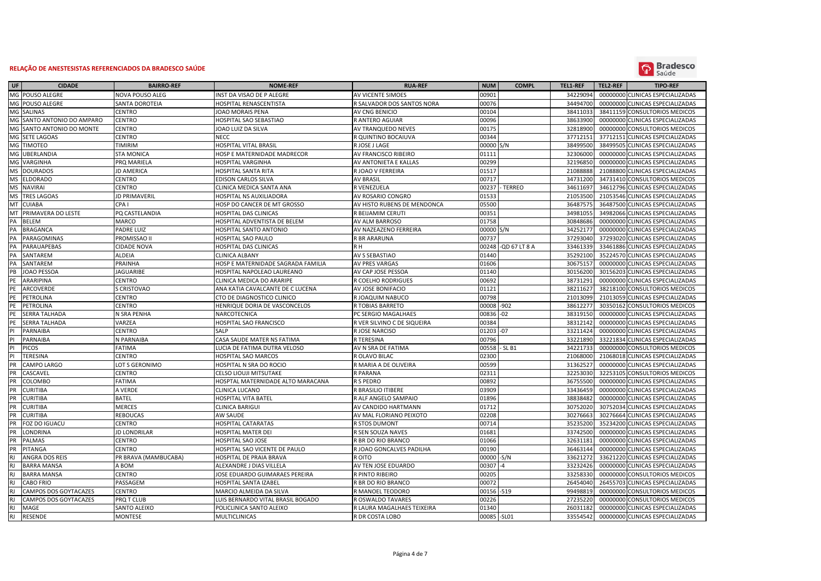

| UF.       | <b>CIDADE</b>           | <b>BAIRRO-REF</b>    | <b>NOME-REF</b>                    | <b>RUA-REF</b>              | <b>NUM</b><br><b>COMPL</b> | <b>TEL1-REF</b> | <b>TEL2-REF</b> | <b>TIPO-REF</b>                  |
|-----------|-------------------------|----------------------|------------------------------------|-----------------------------|----------------------------|-----------------|-----------------|----------------------------------|
|           | MG POUSO ALEGRE         | NOVA POUSO ALEG      | INST DA VISAO DE P ALEGRE          | AV VICENTE SIMOES           | 00901                      | 34229094        |                 | 00000000 CLINICAS ESPECIALIZADAS |
| MG        | POUSO ALEGRE            | SANTA DOROTEIA       | HOSPITAL RENASCENTISTA             | R SALVADOR DOS SANTOS NORA  | 00076                      | 34494700        | 00000000        | CLINICAS ESPECIALIZADAS          |
| MG        | <b>SALINAS</b>          | <b>CENTRO</b>        | JOAO MORAIS PENA                   | AV CNG BENICIO              | 00104                      | 38411033        |                 | 38411159 CONSULTORIOS MEDICOS    |
| MG        | SANTO ANTONIO DO AMPARO | <b>CENTRO</b>        | HOSPITAL SAO SEBASTIAO             | R ANTERO AGUIAR             | 00096                      | 38633900        |                 | 00000000 CLINICAS ESPECIALIZADAS |
| MG        | SANTO ANTONIO DO MONTE  | CENTRO               | JOAO LUIZ DA SILVA                 | AV TRANQUEDO NEVES          | 00175                      | 32818900        | 00000000        | <b>CONSULTORIOS MEDICOS</b>      |
| <b>MG</b> | <b>SETE LAGOAS</b>      | CENTRO               | NECC.                              | R QUINTINO BOCAIUVA         | 00344                      | 37712151        | 37712151        | <b>CLINICAS ESPECIALIZADAS</b>   |
| MG        | <b>TIMOTEO</b>          | <b>TIMIRIM</b>       | <b>HOSPITAL VITAL BRASIL</b>       | R JOSE J LAGE               | S/N<br>00000               | 38499500        |                 | 38499505 CLINICAS ESPECIALIZADAS |
| MG        | <b>UBERLANDIA</b>       | <b>STA MONICA</b>    | HOSP E MATERNIDADE MADRECOR        | AV FRANCISCO RIBEIRO        | 01111                      | 32306000        | 00000000        | <b>CLINICAS ESPECIALIZADAS</b>   |
| MG        | VARGINHA                | PRQ MARIELA          | <b>HOSPITAL VARGINHA</b>           | AV ANTONIETA E KALLAS       | 00299                      | 32196850        | 00000000        | CLINICAS ESPECIALIZADAS          |
| MS        | <b>DOURADOS</b>         | JD AMERICA           | HOSPITAL SANTA RITA                | R JOAO V FERREIRA           | 01517                      | 21088888        | 21088800        | CLINICAS ESPECIALIZADAS          |
| <b>MS</b> | <b>ELDORADO</b>         | <b>CENTRO</b>        | <b>EDISON CARLOS SILVA</b>         | <b>AV BRASIL</b>            | 00717                      | 34731200        |                 | 34731410 CONSULTORIOS MEDICOS    |
| MS        | <b>NAVIRAI</b>          | <b>CENTRO</b>        | CLINICA MEDICA SANTA ANA           | R VENEZUELA                 | 00237<br><b>TERREO</b>     | 34611697        | 34612796        | <b>CLINICAS ESPECIALIZADAS</b>   |
| <b>MS</b> | <b>TRES LAGOAS</b>      | <b>JD PRIMAVERIL</b> | HOSPITAL NS AUXILIADORA            | AV ROSARIO CONGRO           | 01533                      | 21053500        |                 | 21053546 CLINICAS ESPECIALIZADAS |
| MT        | <b>CUIABA</b>           | CPA <sub>I</sub>     | HOSP DO CANCER DE MT GROSSO        | AV HISTO RUBENS DE MENDONCA | 05500                      | 36487575        | 36487500        | <b>CLINICAS ESPECIALIZADAS</b>   |
| MT        | PRIMAVERA DO LESTE      | PQ CASTELANDIA       | HOSPITAL DAS CLINICAS              | R BEIJAMIM CERUT            | 00351                      | 34981055        |                 | 34982066 CLINICAS ESPECIALIZADAS |
| PA        | <b>BELEM</b>            | <b>MARCO</b>         | HOSPITAL ADVENTISTA DE BELEM       | AV ALM BARROSO              | 01758                      | 30848686        |                 | 00000000 CLINICAS ESPECIALIZADAS |
| PA        | <b>BRAGANCA</b>         | PADRE LUIZ           | <b>HOSPITAL SANTO ANTONIO</b>      | AV NAZEAZENO FERREIRA       | 00000<br>S/N               | 34252177        | 00000000        | CLINICAS ESPECIALIZADAS          |
|           | PARAGOMINAS             | PROMISSAO II         | HOSPITAL SAO PAULO                 | <b>R BR ARARUNA</b>         | 00737                      | 37293040        | 37293020        | CLINICAS ESPECIALIZADAS          |
| PA        | PARAUAPEBAS             | <b>CIDADE NOVA</b>   | HOSPITAL DAS CLINICAS              | R H                         | -QD 67 LT 8 A<br>00248     | 33461339        |                 | 33461886 CLINICAS ESPECIALIZADAS |
| PA        | SANTAREM                | ALDEIA               | CLINICA ALBANY                     | <b>AV S SEBASTIAO</b>       | 01440                      | 35292100        |                 | 35224570 CLINICAS ESPECIALIZADAS |
|           | SANTAREM                | PRAINHA              | HOSP E MATERNIDADE SAGRADA FAMILIA | <b>AV PRES VARGAS</b>       | 01606                      | 30675157        | 00000000        | CLINICAS ESPECIALIZADAS          |
| <b>PB</b> | <b>JOAO PESSOA</b>      | <b>JAGUARIBE</b>     | HOSPITAL NAPOLEAO LAUREANO         | AV CAP JOSE PESSOA          | 01140                      | 30156200        | 30156203        | CLINICAS ESPECIALIZADAS          |
| PE        | <b>ARARIPINA</b>        | <b>CENTRO</b>        | CLINICA MEDICA DO ARARIPE          | R COELHO RODRIGUES          | 00692                      | 38731291        |                 | 00000000 CLINICAS ESPECIALIZADAS |
| PE        | ARCOVERDE               | S CRISTOVAO          | ANA KATIA CAVALCANTE DE C LUCENA   | AV JOSE BONIFACIO           | 01121                      | 38211627        | 38218100        | <b>CONSULTORIOS MEDICOS</b>      |
| PE        | PETROLINA               | <b>CENTRO</b>        | CTO DE DIAGNOSTICO CLINICO         | R JOAQUIM NABUCO            | 00798                      | 21013099        | 21013059        | CLINICAS ESPECIALIZADAS          |
| PE        | <b>PETROLINA</b>        | <b>CENTRO</b>        | HENRIQUE DORIA DE VASCONCELOS      | R TOBIAS BARRETO            | 00008<br>$-902$            | 38612277        |                 | 30350162 CONSULTORIOS MEDICOS    |
|           | SERRA TALHADA           | N SRA PENHA          | NARCOTECNICA                       | PC SERGIO MAGALHAES         | 00836<br>$-02$             | 38319150        |                 | 00000000 CLINICAS ESPECIALIZADAS |
|           | SERRA TALHADA           | VARZEA               | HOSPITAL SAO FRANCISCO             | R VER SILVINO C DE SIQUEIRA | 00384                      | 38312142        | 00000000        | CLINICAS ESPECIALIZADAS          |
|           | PARNAIBA                | <b>CENTRO</b>        | SALP                               | <b>IOSE NARCISO</b>         | 01203<br>$-07$             | 33211424        | 00000000        | CLINICAS ESPECIALIZADAS          |
| PI        | PARNAIBA                | N PARNAIBA           | CASA SAUDE MATER NS FATIMA         | R TERESINA                  | 00796                      | 33221890        |                 | 33221834 CLINICAS ESPECIALIZADAS |
| PI        | <b>PICOS</b>            | <b>FATIMA</b>        | LUCIA DE FATIMA DUTRA VELOSO       | AV N SRA DE FATIMA          | 00558<br>$-SL B1$          | 34221733        | 00000000        | <b>CONSULTORIOS MEDICOS</b>      |
| PI        | TERESINA                | CENTRO               | <b>HOSPITAL SAO MARCOS</b>         | R OLAVO BILAC               | 02300                      | 21068000        |                 | 21068018 CLINICAS ESPECIALIZADAS |
| PR        | CAMPO LARGO             | LOT S GERONIMO       | HOSPITAL N SRA DO ROCIO            | R MARIA A DE OLIVEIRA       | 00599                      | 31362527        | 00000000        | <b>CLINICAS ESPECIALIZADAS</b>   |
| PR        | CASCAVEL                | <b>CENTRO</b>        | CELSO LIOUJI MITSUTAKE             | R PARANA                    | 02311                      | 32253030        |                 | 32253105 CONSULTORIOS MEDICOS    |
| PR        | COLOMBO                 | FATIMA               | HOSPTAL MATERNIDADE ALTO MARACANA  | R S PEDRO                   | 00892                      | 36755500        |                 | 00000000 CLINICAS ESPECIALIZADAS |
| PR        | <b>CURITIBA</b>         | A VERDE              | CLINICA LUCANO                     | R BRASILIO ITIBERE          | 03909                      | 33436459        | 00000000        | CLINICAS ESPECIALIZADAS          |
| PR        | <b>CURITIBA</b>         | <b>BATEL</b>         | HOSPITAL VITA BATEL                | R ALF ANGELO SAMPAIO        | 01896                      | 38838482        | 00000000        | <b>CLINICAS ESPECIALIZADAS</b>   |
| PR        | <b>CURITIBA</b>         | <b>MERCES</b>        | CLINICA BARIGUI                    | AV CANDIDO HARTMANN         | 01712                      | 30752020        | 30752034        | CLINICAS ESPECIALIZADAS          |
| PR        | <b>CURITIBA</b>         | <b>REBOUCAS</b>      | AW SAUDE                           | AV MAL FLORIANO PEIXOTO     | 02208                      | 30276663        | 30276664        | <b>CLINICAS ESPECIALIZADAS</b>   |
| PR        | FOZ DO IGUACU           | CENTRO               | HOSPITAL CATARATAS                 | R STOS DUMONT               | 00714                      | 35235200        | 35234200        | <b>CLINICAS ESPECIALIZADAS</b>   |
| PR        | <b>LONDRINA</b>         | JD LONDRILAR         | HOSPITAL MATER DEI                 | R SEN SOUZA NAVES           | 01681                      | 33742500        |                 | 00000000 CLINICAS ESPECIALIZADAS |
| PR        | <b>PALMAS</b>           | <b>CENTRO</b>        | <b>HOSPITAL SAO JOSE</b>           | R BR DO RIO BRANCO          | 01066                      | 32631181        |                 | 00000000 CLINICAS ESPECIALIZADAS |
| PR        | PITANGA                 | <b>CENTRO</b>        | HOSPITAL SAO VICENTE DE PAULO      | R JOAO GONCALVES PADILHA    | 00190                      | 36463144        | 00000000        | CLINICAS ESPECIALIZADAS          |
|           | ANGRA DOS REIS          | PR BRAVA (MAMBUCABA) | HOSPITAL DE PRAIA BRAVA            | R OITO                      | -S/N<br>00000              | 33621272        | 33621220        | <b>CLINICAS ESPECIALIZADAS</b>   |
| <b>RJ</b> | <b>BARRA MANSA</b>      | A BOM                | ALEXANDRE J DIAS VILLELA           | AV TEN JOSE EDUARDO         | 00307                      | 33232426        | 00000000        | CLINICAS ESPECIALIZADAS          |
| R.        | <b>BARRA MANSA</b>      | CENTRO               | JOSE EDUARDO GUIMARAES PEREIRA     | R PINTO RIBEIRO             | 00205                      | 33258330        | 00000000        | <b>CONSULTORIOS MEDICOS</b>      |
| <b>RJ</b> | <b>CABO FRIO</b>        | PASSAGEM             | HOSPITAL SANTA IZABEL              | R BR DO RIO BRANCO          | 00072                      | 26454040        | 26455703        | CLINICAS ESPECIALIZADAS          |
| RJ        | CAMPOS DOS GOYTACAZES   | <b>CENTRO</b>        | MARCIO ALMEIDA DA SILVA            | R MANOEL TEODORO            | $-519$<br>00156            | 99498819        |                 | 00000000 CONSULTORIOS MEDICOS    |
| R.        | CAMPOS DOS GOYTACAZES   | PRQ T CLUB           | LUIS BERNARDO VITAL BRASIL BOGADO  | R OSWALDO TAVARES           | 00226                      | 27235220        |                 | 00000000 CONSULTORIOS MEDICOS    |
| R.        | MAGE                    | SANTO ALEIXO         | POLICLINICA SANTO ALEIXO           | R LAURA MAGALHAES TEIXEIRA  | 01340                      | 26031182        | 00000000        | <b>CLINICAS ESPECIALIZADAS</b>   |
| <b>RJ</b> | <b>RESENDE</b>          | <b>MONTESE</b>       | <b>MULTICLINICAS</b>               | R DR COSTA LOBO             | 00085 -SL01                | 33554542        |                 | 00000000 CLINICAS ESPECIALIZADAS |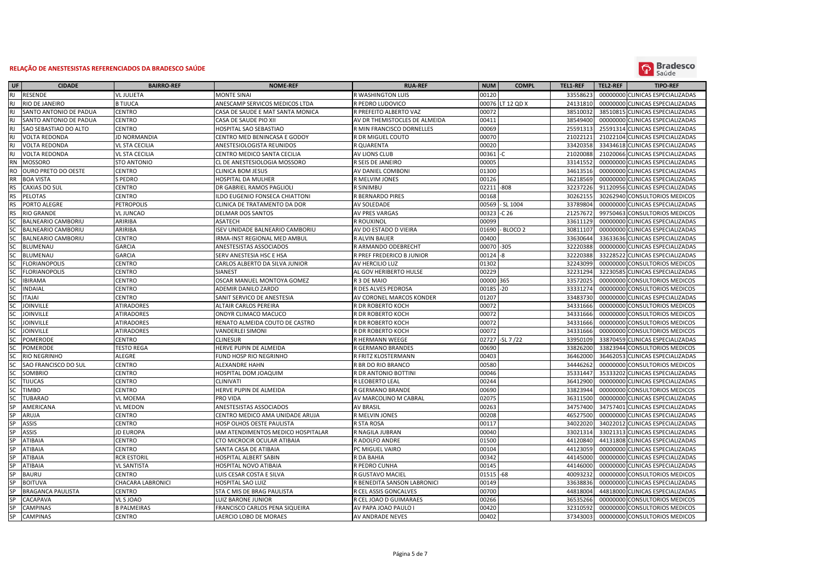

| UF        | <b>CIDADE</b>               | <b>BAIRRO-REF</b>           | <b>NOME-REF</b>                                                 | <b>RUA-REF</b>                     | <b>NUM</b>     | <b>COMPL</b>       | <b>TEL1-REF</b>      | <b>TEL2-REF</b> | <b>TIPO-REF</b>                                                      |
|-----------|-----------------------------|-----------------------------|-----------------------------------------------------------------|------------------------------------|----------------|--------------------|----------------------|-----------------|----------------------------------------------------------------------|
|           | RESENDE                     | <b>VL JULIETA</b>           | <b>MONTE SINAI</b>                                              | R WASHINGTON LUIS                  | 00120          |                    | 3355862              |                 | 00000000 CLINICAS ESPECIALIZADAS                                     |
|           | RIO DE JANEIRO              | <b>B TIJUCA</b>             | ANESCAMP SERVICOS MEDICOS LTDA                                  | r Pedro Ludovico                   |                | 00076 LT 12 QD X   | 24131810             |                 | 00000000 CLINICAS ESPECIALIZADAS                                     |
|           | SANTO ANTONIO DE PADUA      | <b>CENTRO</b>               | CASA DE SAUDE E MAT SANTA MONICA                                | R PREFEITO ALBERTO VAZ             | 00072          |                    | 38510032             |                 | 38510815 CLINICAS ESPECIALIZADAS                                     |
|           | SANTO ANTONIO DE PADUA      | CENTRO                      | CASA DE SAUDE PIO XII                                           | AV DR THEMISTOCLES DE ALMEIDA      | 00411          |                    | 38549400             |                 | 00000000 CLINICAS ESPECIALIZADAS                                     |
|           | SAO SEBASTIAO DO ALTO       | CENTRO                      | HOSPITAL SAO SEBASTIAO                                          | R MIN FRANCISCO DORNELLES          | 00069          |                    | 25591313             |                 | 25591314 CLINICAS ESPECIALIZADAS                                     |
|           | <b>VOLTA REDONDA</b>        | JD NORMANDIA                | CENTRO MED BENINCASA E GODOY                                    | R DR MIGUEL COUTO                  | 00070          |                    | 21022121             |                 | 21022104 CLINICAS ESPECIALIZADAS                                     |
|           | <b>VOLTA REDONDA</b>        | <b>VL STA CECILIA</b>       | ANESTESIOLOGISTA REUNIDOS                                       | R QUARENTA                         | 00020          |                    | 33420358             |                 | 33434618 CLINICAS ESPECIALIZADAS                                     |
|           | <b>VOLTA REDONDA</b>        | VL STA CECILIA              | CENTRO MEDICO SANTA CECILIA                                     | AV LIONS CLUB                      | 00361          |                    | 21020088             |                 | 21020066 CLINICAS ESPECIALIZADAS                                     |
|           | <b>MOSSORO</b>              | <b>STO ANTONIO</b>          | CL DE ANESTESIOLOGIA MOSSORO                                    | R SEIS DE JANEIRO                  | 00005          |                    | 33141552             |                 | 00000000 CLINICAS ESPECIALIZADAS                                     |
| <b>RO</b> | OURO PRETO DO OESTE         | CENTRO                      | <b>CLINICA BOM JESUS</b>                                        | AV DANIEL COMBONI                  | 01300          |                    | 34613516             |                 | 00000000 CLINICAS ESPECIALIZADAS                                     |
| <b>RR</b> | <b>BOA VISTA</b>            | <b>S PEDRO</b>              | HOSPITAL DA MULHER                                              | R MELVIM JONES                     | 00126          |                    | 36218569             |                 | 00000000 CLINICAS ESPECIALIZADAS                                     |
| <b>RS</b> | CAXIAS DO SUL               | CENTRO                      | DR GABRIEL RAMOS PAGLIOLI                                       | R SINIMBU                          | 02211          | -808               | 32237226             |                 | 91120956 CLINICAS ESPECIALIZADAS                                     |
| <b>RS</b> | PELOTAS                     | CENTRO                      | ILDO EUGENIO FONSECA CHIATTONI                                  | R BERNARDO PIRES                   | 00168          |                    | 3026215              |                 | 30262940 CONSULTORIOS MEDICOS                                        |
| <b>RS</b> | PORTO ALEGRE                | <b>PETROPOLIS</b>           | CLINICA DE TRATAMENTO DA DOR                                    | AV SOLEDADE                        | 00569          | - SL 1004          | 33789804             |                 | 00000000 CLINICAS ESPECIALIZADAS                                     |
| <b>RS</b> | <b>RIO GRANDE</b>           | <b>VL JUNCAO</b>            | <b>DELMAR DOS SANTOS</b>                                        | AV PRES VARGAS                     | 00323          | $-C26$             | 21257672             |                 | 99750463 CONSULTORIOS MEDICOS                                        |
|           | <b>BALNEARIO CAMBORIU</b>   | ARIRIBA                     | <b>ASATECH</b>                                                  | R ROUXINOL                         | 20099          |                    | 33611129             |                 | 00000000 CLINICAS ESPECIALIZADAS                                     |
|           | <b>BALNEARIO CAMBORIU</b>   | ARIRIBA                     | <b>ISEV UNIDADE BALNEARIO CAMBORIU</b>                          | AV DO ESTADO D VIEIRA              | 01690          | BLOCO <sub>2</sub> | 30811107             |                 | 00000000 CLINICAS ESPECIALIZADAS                                     |
|           | <b>BALNEARIO CAMBORIU</b>   | <b>CENTRO</b>               | IRMA-INST REGIONAL MED AMBUL                                    | R ALVIN BAUER                      | 00400          |                    | 33630644             |                 | 33633636 CLINICAS ESPECIALIZADAS                                     |
| <b>SC</b> | BLUMENAU                    | <b>GARCIA</b>               | ANESTESISTAS ASSOCIADOS                                         | R ARMANDO ODEBRECHT                | 00070          | -305               | 3222038              |                 | 00000000 CLINICAS ESPECIALIZADAS                                     |
|           | BLUMENAU                    | <b>GARCIA</b>               | SERV ANESTESIA HSC E HSA                                        | R PREF FREDERICO B JUNIOR          | 00124          |                    | 32220388             |                 | 33228522 CLINICAS ESPECIALIZADAS                                     |
|           | <b>FLORIANOPOLIS</b>        | CENTRO                      | CARLOS ALBERTO DA SILVA JUNIOR                                  | AV HERCILIO LUZ                    | 01302          |                    | 32243099             |                 | 00000000 CONSULTORIOS MEDICOS                                        |
| SC        | <b>FLORIANOPOLIS</b>        | <b>CENTRO</b>               | SIANEST                                                         | AL GOV HERIBERTO HULSE             | 00229          |                    | 32231294             |                 | 32230585 CLINICAS ESPECIALIZADAS                                     |
|           | <b>IBIRAMA</b>              | CENTRO                      | OSCAR MANUEL MONTOYA GOMEZ                                      | R 3 DE MAIO                        | 00000          | 365                | 33572025             |                 | 00000000 CONSULTORIOS MEDICOS                                        |
|           | <b>INDAIAL</b>              | <b>CENTRO</b>               | ADEMIR DANILO ZARDO                                             | R DES ALVES PEDROSA                | 00185          | $-20$              | 33331274             |                 | 00000000 CONSULTORIOS MEDICOS                                        |
| <b>SC</b> | <b>ITAJAI</b>               | CENTRO                      | SANIT SERVICO DE ANESTESIA                                      | AV CORONEL MARCOS KONDER           | 01207          |                    | 33483730             |                 | 00000000 CLINICAS ESPECIALIZADAS                                     |
| SC        | <b>JOINVILLE</b>            | <b>ATIRADORES</b>           | <b>ALTAIR CARLOS PEREIRA</b>                                    | R DR ROBERTO KOCH                  | 00072          |                    | 34331666             |                 | 00000000 CONSULTORIOS MEDICOS                                        |
|           | <b>JOINVILLE</b>            | <b>ATIRADORES</b>           | ONDYR CLIMACO MACUCO                                            | R DR ROBERTO KOCH                  | 00072          |                    | 34331666             |                 | 00000000 CONSULTORIOS MEDICOS                                        |
|           | <b>JOINVILLE</b>            | <b>ATIRADORES</b>           | RENATO ALMEIDA COUTO DE CASTRO                                  | R DR ROBERTO KOCH                  | 00072          |                    | 34331666             |                 | 00000000 CONSULTORIOS MEDICOS                                        |
| <b>SC</b> | <b>JOINVILLE</b>            | ATIRADORES                  | VANDERLEI SIMONI                                                | R DR ROBERTO KOCH                  | 00072          |                    | 34331666             |                 | 00000000 CONSULTORIOS MEDICOS                                        |
|           | <b>POMERODE</b>             | CENTRO                      | <b>CLINESUR</b>                                                 | R HERMANN WEEGE                    | 02727          | $-SL$ 7 /22        | 33950109             |                 | 33870459 CLINICAS ESPECIALIZADAS                                     |
|           | <b>POMERODE</b>             | <b>TESTO REGA</b>           | HERVE PUPIN DE ALMEIDA                                          | R GERMANO BRANDES                  | 00690          |                    | 33826200             |                 | 33823944 CONSULTORIOS MEDICOS                                        |
|           | <b>RIO NEGRINHO</b>         | ALEGRE                      | FUND HOSP RIO NEGRINHO                                          | R FRITZ KLOSTERMANN                | 00403          |                    | 36462000             |                 | 36462053 CLINICAS ESPECIALIZADAS                                     |
| <b>SC</b> | SAO FRANCISCO DO SUL        | CENTRO                      | <b>ALEXANDRE HAHN</b>                                           | R BR DO RIO BRANCO                 | 00580          |                    | 34446262             |                 | 00000000 CONSULTORIOS MEDICOS                                        |
| SC        | SOMBRIO                     | CENTRO                      | HOSPITAL DOM JOAQUIM                                            | R DR ANTONIO BOTTINI               | 00046          |                    | 35331447             |                 | 35333202 CLINICAS ESPECIALIZADAS                                     |
|           | <b>TIJUCAS</b>              | CENTRO                      | <b>CLINIVATI</b>                                                | R LEOBERTO LEAL                    | 00244          |                    | 36412900             |                 | 00000000 CLINICAS ESPECIALIZADAS                                     |
| SC        | <b>TIMBO</b>                | <b>CENTRO</b>               | HERVE PUPIN DE ALMEIDA                                          | R GERMANO BRANDE                   | 00690          |                    | 33823944             |                 | 00000000 CONSULTORIOS MEDICOS                                        |
|           | <b>TUBARAO</b><br>AMERICANA | VL MOEMA<br><b>VL MEDON</b> | PRO VIDA<br><b>ANESTESISTAS ASSOCIADOS</b>                      | AV MARCOLINO M CABRAL              | 02075<br>00263 |                    | 36311500<br>34757400 |                 | 00000000 CLINICAS ESPECIALIZADAS                                     |
|           | ARUJA                       | CENTRO                      | CENTRO MEDICO AMA UNIDADE ARUJA                                 | <b>AV BRASIL</b><br>R MELVIN JONES | 00208          |                    | 46527500             |                 | 34757401 CLINICAS ESPECIALIZADAS<br>00000000 CLINICAS ESPECIALIZADAS |
| SP        | ASSIS                       | <b>CENTRO</b>               |                                                                 |                                    | 00117          |                    | 34022020             |                 | 34022012 CLINICAS ESPECIALIZADAS                                     |
| SP        | ASSIS                       | <b>JD EUROPA</b>            | HOSP OLHOS OESTE PAULISTA<br>IAM ATENDIMENTOS MEDICO HOSPITALAR | R STA ROSA<br>R NAGILA JUBRAN      | 00040          |                    | 33021314             |                 | 33021313 CLINICAS ESPECIALIZADAS                                     |
|           | ATIBAIA                     | <b>CENTRO</b>               |                                                                 | R ADOLFO ANDRE                     | 01500          |                    | 44120840             |                 | 44131808 CLINICAS ESPECIALIZADAS                                     |
|           | ATIBAIA                     | <b>CENTRO</b>               | CTO MICROCIR OCULAR ATIBAIA<br>SANTA CASA DE ATIBAIA            | PC MIGUEL VAIRO                    | 00104          |                    | 44123059             |                 | 00000000 CLINICAS ESPECIALIZADAS                                     |
|           | <b>ATIBAIA</b>              | <b>RCR ESTORIL</b>          | HOSPITAL ALBERT SABIN                                           | R DA BAHIA                         | 00342          |                    | 44145000             |                 | 00000000 CLINICAS ESPECIALIZADAS                                     |
| SP        | <b>ATIBAIA</b>              | <b>VL SANTISTA</b>          | HOSPITAL NOVO ATIBAIA                                           | R PEDRO CUNHA                      | 00145          |                    | 44146000             |                 | 00000000 CLINICAS ESPECIALIZADAS                                     |
|           | <b>BAURU</b>                | <b>CENTRO</b>               | LUIS CESAR COSTA E SILVA                                        | R GUSTAVO MACIEL                   | 01515          | $-68$              | 4009323              |                 | 00000000 CONSULTORIOS MEDICOS                                        |
|           | <b>BOITUVA</b>              | CHACARA LABRONICI           | HOSPITAL SAO LUIZ                                               | R BENEDITA SANSON LABRONICI        | 00149          |                    | 33638836             |                 | 00000000 CLINICAS ESPECIALIZADAS                                     |
|           | <b>BRAGANCA PAULISTA</b>    | <b>CENTRO</b>               | STA C MIS DE BRAG PAULISTA                                      | R CEL ASSIS GONCALVES              | 00700          |                    | 44818004             |                 | 44818000 CLINICAS ESPECIALIZADAS                                     |
|           | CACAPAVA                    | VL S JOAO                   | LUIZ BARONE JUNIOR                                              | R CEL JOAO D GUIMARAES             | 00266          |                    | 36535266             |                 | 00000000 CONSULTORIOS MEDICOS                                        |
|           | <b>CAMPINAS</b>             | <b>B PALMEIRAS</b>          | FRANCISCO CARLOS PENA SIQUEIRA                                  | AV PAPA JOAO PAULO I               | 00420          |                    | 32310592             |                 | 00000000 CONSULTORIOS MEDICOS                                        |
| <b>SP</b> | <b>CAMPINAS</b>             | <b>CENTRO</b>               | LAERCIO LOBO DE MORAES                                          | AV ANDRADE NEVES                   | 00402          |                    | 37343003             |                 | 00000000 CONSULTORIOS MEDICOS                                        |
|           |                             |                             |                                                                 |                                    |                |                    |                      |                 |                                                                      |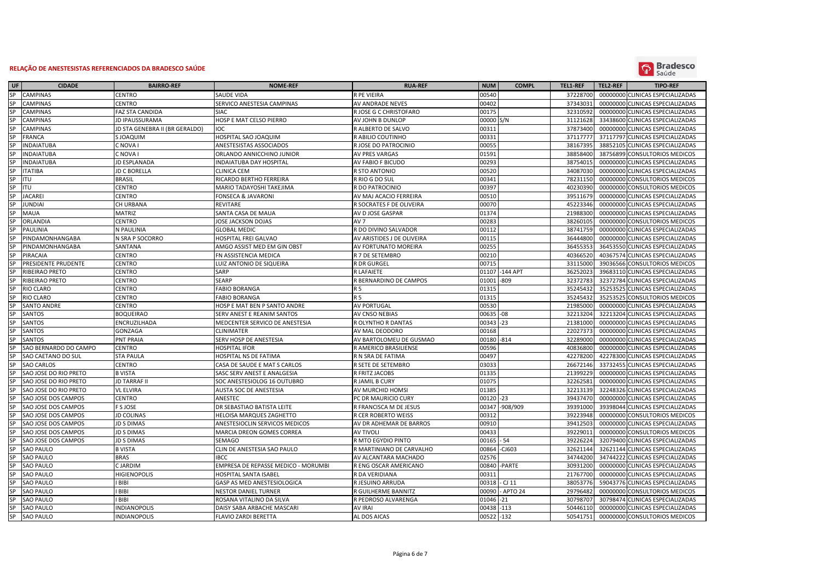

| UF | <b>CIDADE</b>         | <b>BAIRRO-REF</b>              | <b>NOME-REF</b>                     | <b>RUA-REF</b>             | <b>NUM</b> | <b>COMPL</b> | <b>TEL1-REF</b> | <b>TEL2-REF</b> | <b>TIPO-REF</b>                  |
|----|-----------------------|--------------------------------|-------------------------------------|----------------------------|------------|--------------|-----------------|-----------------|----------------------------------|
| SP | <b>CAMPINAS</b>       | CENTRO                         | <b>SAUDE VIDA</b>                   | R PE VIEIRA                | 00540      |              | 37228700        |                 | 00000000 CLINICAS ESPECIALIZADAS |
|    | <b>CAMPINAS</b>       | <b>CENTRO</b>                  | SERVICO ANESTESIA CAMPINAS          | AV ANDRADE NEVES           | 00402      |              | 37343031        |                 | 00000000 CLINICAS ESPECIALIZADAS |
| SP | <b>CAMPINAS</b>       | FAZ STA CANDIDA                | <b>SIAC</b>                         | R JOSE G C CHRISTOFARO     | 00175      |              | 32310592        | 00000000        | CLINICAS ESPECIALIZADAS          |
| SP | <b>CAMPINAS</b>       | JD IPAUSSURAMA                 | HOSP E MAT CELSO PIERRO             | AV JOHN B DUNLOP           | 00000 S/N  |              | 31121628        |                 | 33438600 CLINICAS ESPECIALIZADAS |
|    | <b>CAMPINAS</b>       | JD STA GENEBRA II (BR GERALDO) | <b>IOC</b>                          | R ALBERTO DE SALVO         | 00311      |              | 37873400        |                 | 00000000 CLINICAS ESPECIALIZADAS |
|    | <b>FRANCA</b>         | SJOAQUIM                       | HOSPITAL SAO JOAQUIM                | R ABILIO COUTINHO          | 00331      |              | 37117777        |                 | 37117797 CLINICAS ESPECIALIZADAS |
|    | <b>INDAIATUBA</b>     | C NOVA I                       | ANESTESISTAS ASSOCIADOS             | R JOSE DO PATROCINIO       | 00055      |              | 38167395        | 38852105        | CLINICAS ESPECIALIZADAS          |
|    | <b>INDAIATUBA</b>     | C NOVA I                       | ORLANDO ANNICCHINO JUNIOR           | AV PRES VARGAS             | 01591      |              | 38858400        | 38756899        | CONSULTORIOS MEDICOS             |
|    | <b>INDAIATUBA</b>     | JD ESPLANADA                   | <b>INDAIATUBA DAY HOSPITAL</b>      | AV FABIO F BICUDO          | 00293      |              | 38754015        |                 | 00000000 CLINICAS ESPECIALIZADAS |
| SP | <b>ITATIBA</b>        | JD C BORELLA                   | <b>CLINICA CEM</b>                  | R STO ANTONIO              | 00520      |              | 34087030        | 00000000        | CLINICAS ESPECIALIZADAS          |
| SΡ | ITU                   | BRASIL                         | RICARDO BERTHO FERREIRA             | R RIO G DO SUL             | 00341      |              | 78231150        |                 | 00000000 CONSULTORIOS MEDICOS    |
| SP | <b>ITU</b>            | <b>CENTRO</b>                  | MARIO TADAYOSHI TAKEJIMA            | R DO PATROCINIO            | 00397      |              | 40230390        |                 | 00000000 CONSULTORIOS MEDICOS    |
| SP | <b>JACAREI</b>        | <b>CENTRO</b>                  | <b>FONSECA &amp; JAVARONI</b>       | AV MAJ ACACIO FERREIRA     | 00510      |              | 39511679        |                 | 00000000 CLINICAS ESPECIALIZADAS |
|    | <b>JUNDIAI</b>        | CH URBANA                      | REVITARE                            | R SOCRATES F DE OLIVEIRA   | 00070      |              | 4522334         | 00000000        | CLINICAS ESPECIALIZADAS          |
|    | MAUA                  | <b>MATRIZ</b>                  | SANTA CASA DE MAUA                  | AV D JOSE GASPAR           | 01374      |              | 2198830         | 00000000        | CLINICAS ESPECIALIZADAS          |
|    | <b>ORLANDIA</b>       | CENTRO                         | JOSE JACKSON DOJAS                  | AV <sub>7</sub>            | 00283      |              | 3826010         | 00000000        | <b>CONSULTORIOS MEDICOS</b>      |
|    | PAULINIA              | N PAULINIA                     | <b>GLOBAL MEDIC</b>                 | R DO DIVINO SALVADOR       | 00112      |              | 38741759        | 00000000        | CLINICAS ESPECIALIZADAS          |
|    | PINDAMONHANGABA       | N SRA P SOCORRO                | HOSPITAL FREI GALVAO                | AV ARISTIDES J DE OLIVEIRA | 00115      |              | 3644480         | 00000000        | CLINICAS ESPECIALIZADAS          |
| SP | PINDAMONHANGABA       | SANTANA                        | AMGO ASSIST MED EM GIN OBST         | AV FORTUNATO MOREIRA       | 00255      |              | 3645535         | 36453550        | <b>CLINICAS ESPECIALIZADAS</b>   |
| SP | PIRACAIA              | <b>CENTRO</b>                  | FN ASSISTENCIA MEDICA               | R 7 DE SETEMBRO            | 00210      |              | 40366520        |                 | 40367574 CLINICAS ESPECIALIZADAS |
|    | PRESIDENTE PRUDENTE   | <b>CENTRO</b>                  | LUIZ ANTONIO DE SIQUEIRA            | R DR GURGEL                | 00715      |              | 33115000        | 39036566        | <b>CONSULTORIOS MEDICOS</b>      |
|    | RIBEIRAO PRETO        | CENTRO                         | SARP                                | R LAFAIETE                 | 01107      | $-144$ APT   | 3625202         | 39683110        | <b>CLINICAS ESPECIALIZADAS</b>   |
|    | RIBEIRAO PRETO        | CENTRO                         | <b>SEARP</b>                        | R BERNARDINO DE CAMPOS     | 01001      | -809         | 32372783        |                 | 32372784 CLINICAS ESPECIALIZADAS |
|    | RIO CLARO             | <b>CENTRO</b>                  | <b>FABIO BORANGA</b>                | R 5                        | 01315      |              | 3524543         | 35253525        | <b>CLINICAS ESPECIALIZADAS</b>   |
| SΡ | RIO CLARO             | CENTRO                         | <b>FABIO BORANGA</b>                | R 5                        | 01315      |              | 3524543         | 35253525        | <b>CONSULTORIOS MEDICOS</b>      |
| SP | <b>SANTO ANDRE</b>    | <b>CENTRO</b>                  | HOSP E MAT BEN P SANTO ANDRE        | AV PORTUGAL                | 00530      |              | 21985000        |                 | 00000000 CLINICAS ESPECIALIZADAS |
| SP | <b>SANTOS</b>         | <b>BOQUEIRAO</b>               | SERV ANEST E REANIM SANTOS          | AV CNSO NEBIAS             | 00635      | $-08$        | 32213204        |                 | 32213204 CLINICAS ESPECIALIZADAS |
|    | <b>SANTOS</b>         | ENCRUZILHADA                   | MEDCENTER SERVICO DE ANESTESIA      | R OLYNTHO R DANTAS         | 00343      | $-23$        | 21381000        | 00000000        | CLINICAS ESPECIALIZADAS          |
| kΡ | SANTOS                | GONZAGA                        | <b>CLINIMATER</b>                   | AV MAL DEODORO             | 00168      |              | 2202737         | 00000000        | CLINICAS ESPECIALIZADAS          |
|    | SANTOS                | PNT PRAIA                      | SERV HOSP DE ANESTESIA              | AV BARTOLOMEU DE GUSMAO    | 00180      | $-814$       | 3228900         |                 | 00000000 CLINICAS ESPECIALIZADAS |
|    | SAO BERNARDO DO CAMPO | <b>CENTRO</b>                  | <b>HOSPITAL IFOR</b>                | R AMERICO BRASILIENSE      | 00596      |              | 40836800        |                 | 00000000 CLINICAS ESPECIALIZADAS |
|    | SAO CAETANO DO SUL    | <b>STA PAULA</b>               | HOSPITAL NS DE FATIMA               | R N SRA DE FATIMA          | 00497      |              | 42278200        |                 | 42278300 CLINICAS ESPECIALIZADAS |
| SP | <b>SAO CARLOS</b>     | <b>CENTRO</b>                  | CASA DE SAUDE E MAT S CARLOS        | R SETE DE SETEMBRO         | 03033      |              | 26672146        | 33732455        | <b>CLINICAS ESPECIALIZADAS</b>   |
| SP | SAO JOSE DO RIO PRETO | <b>B VISTA</b>                 | SASC SERV ANEST E ANALGESIA         | R FRITZ JACOBS             | 01335      |              | 21399229        |                 | 00000000 CLINICAS ESPECIALIZADAS |
|    | SAO JOSE DO RIO PRETO | JD TARRAF II                   | SOC ANESTESIOLOG 16 OUTUBRO         | R JAMIL B CURY             | 01075      |              | 32262581        |                 | 00000000 CLINICAS ESPECIALIZADAS |
|    | SAO JOSE DO RIO PRETO | <b>VL ELVIRA</b>               | AUSTA SOC DE ANESTESIA              | AV MURCHID HOMSI           | 01385      |              | 32213139        | 32248326        | CLINICAS ESPECIALIZADAS          |
|    | SAO JOSE DOS CAMPOS   | CENTRO                         | ANESTEC                             | PC DR MAURICIO CURY        | 00120      | $-23$        | 39437470        | 00000000        | <b>CLINICAS ESPECIALIZADAS</b>   |
|    | SAO JOSE DOS CAMPOS   | F S JOSE                       | DR SEBASTIAO BATISTA LEITE          | R FRANCISCA M DE JESUS     | 00347      | -908/909     | 39391000        | 39398044        | CLINICAS ESPECIALIZADAS          |
|    | SAO JOSE DOS CAMPOS   | <b>JD COLINAS</b>              | HELOISA MARQUES ZAGHETTO            | R CER ROBERTO WEISS        | 00312      |              | 39223948        |                 | 00000000 CONSULTORIOS MEDICOS    |
| SΡ | SAO JOSE DOS CAMPOS   | <b>JD S DIMAS</b>              | ANESTESIOCLIN SERVICOS MEDICOS      | AV DR ADHEMAR DE BARROS    | 00910      |              | 3941250         | 00000000        | CLINICAS ESPECIALIZADAS          |
| SP | SAO JOSE DOS CAMPOS   | <b>JD S DIMAS</b>              | MARCIA DREON GOMES CORREA           | <b>AV TIVOLI</b>           | 00433      |              | 39229011        |                 | 00000000 CONSULTORIOS MEDICOS    |
|    | SAO JOSE DOS CAMPOS   | <b>JD S DIMAS</b>              | <b>SEMAGO</b>                       | R MTO EGYDIO PINTO         | 00165      | 54           | 39226224        |                 | 32079400 CLINICAS ESPECIALIZADAS |
|    | <b>SAO PAULO</b>      | <b>B VISTA</b>                 | CLIN DE ANESTESIA SAO PAULO         | R MARTINIANO DE CARVALHO   | 00864      | CJ603        | 32621144        |                 | 32621144 CLINICAS ESPECIALIZADAS |
|    | <b>SAO PAULO</b>      | <b>BRAS</b>                    | <b>IBCC</b>                         | AV ALCANTARA MACHADO       | 02576      |              | 34744200        |                 | 34744222 CLINICAS ESPECIALIZADAS |
|    | <b>SAO PAULO</b>      | C JARDIM                       | EMPRESA DE REPASSE MEDICO - MORUMBI | R ENG OSCAR AMERICANO      | 00840      | <b>PARTE</b> | 30931200        | 00000000        | <b>CLINICAS ESPECIALIZADAS</b>   |
|    | <b>SAO PAULO</b>      | <b>HIGIENOPOLIS</b>            | HOSPITAL SANTA ISABEL               | R DA VERIDIANA             | 00311      |              | 21767700        |                 | 00000000 CLINICAS ESPECIALIZADAS |
| SP | <b>SAO PAULO</b>      | I BIBI                         | GASP AS MED ANESTESIOLOGICA         | R JESUINO ARRUDA           | 00318      | - CJ 11      | 38053776        | 59043776        | CLINICAS ESPECIALIZADAS          |
| SP | <b>SAO PAULO</b>      | <b>BIBI</b>                    | NESTOR DANIEL TURNER                | R GUILHERME BANNITZ        | 00090      | APTO 24      | 29796482        | 00000000        | <b>CONSULTORIOS MEDICOS</b>      |
|    | <b>SAO PAULO</b>      | <b>BIBI</b>                    | ROSANA VITALINO DA SILVA            | R PEDROSO ALVARENGA        | 01046      | $-21$        | 30798707        |                 | 30798474 CLINICAS ESPECIALIZADAS |
| SP | <b>SAO PAULO</b>      | <b>INDIANOPOLIS</b>            | DAISY SABA ARBACHE MASCARI          | <b>AV IRAI</b>             | 00438      | $-113$       | 50446110        | 00000000        | <b>CLINICAS ESPECIALIZADAS</b>   |
| SP | <b>SAO PAULO</b>      | <b>INDIANOPOLIS</b>            | <b>FLAVIO ZARDI BERETTA</b>         | AL DOS AICAS               | 00522      | $-132$       | 50541751        |                 | 00000000 CONSULTORIOS MEDICOS    |